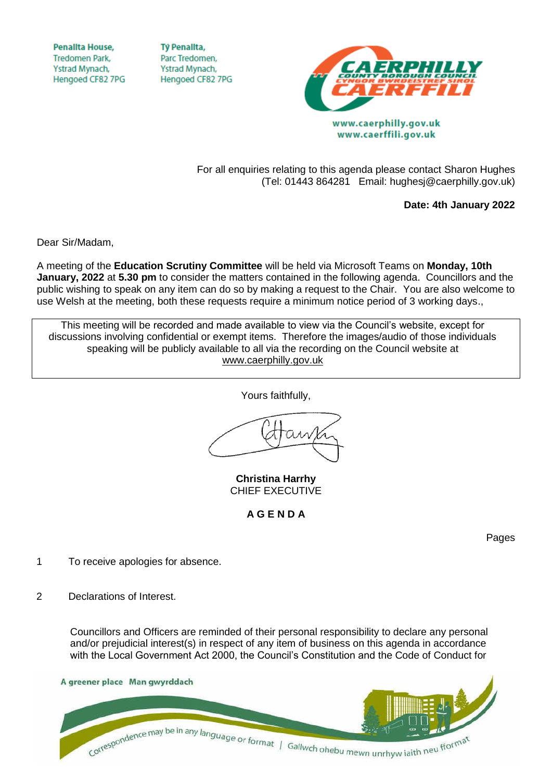**Penallta House,** Tredomen Park. Ystrad Mynach, Hengoed CF82 7PG

**TV Penallta.** Parc Tredomen. Ystrad Mynach, Hengoed CF82 7PG



www.caerffili.gov.uk

For all enquiries relating to this agenda please contact Sharon Hughes (Tel: 01443 864281 Email: hughesj@caerphilly.gov.uk)

**Date: 4th January 2022**

Dear Sir/Madam,

A meeting of the **Education Scrutiny Committee** will be held via Microsoft Teams on **Monday, 10th January, 2022** at **5.30 pm** to consider the matters contained in the following agenda. Councillors and the public wishing to speak on any item can do so by making a request to the Chair. You are also welcome to use Welsh at the meeting, both these requests require a minimum notice period of 3 working days.,

This meeting will be recorded and made available to view via the Council's website, except for discussions involving confidential or exempt items. Therefore the images/audio of those individuals speaking will be publicly available to all via the recording on the Council website at [www.caerphilly.gov.uk](http://www.caerphilly.gov.uk/)

Yours faithfully,

**Christina Harrhy** CHIEF EXECUTIVE

**A G E N D A**

Pages

- 1 To receive apologies for absence.
- 2 Declarations of Interest.

Councillors and Officers are reminded of their personal responsibility to declare any personal and/or prejudicial interest(s) in respect of any item of business on this agenda in accordance with the Local Government Act 2000, the Council's Constitution and the Code of Conduct for

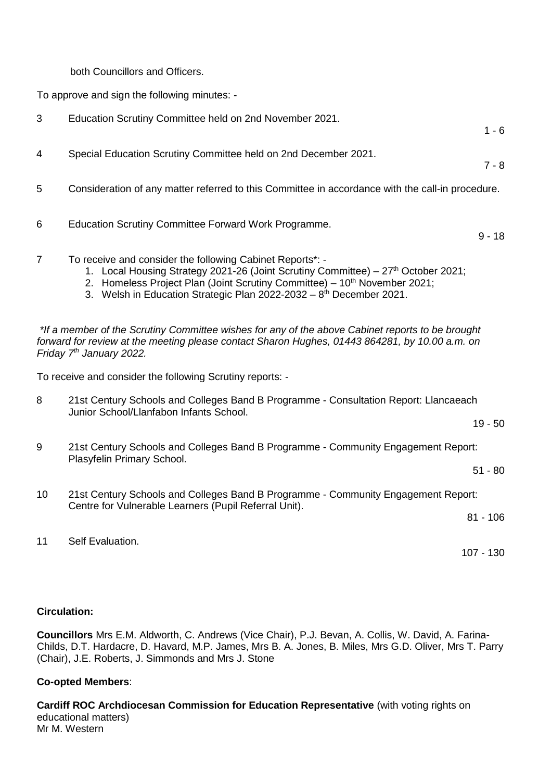both Councillors and Officers.

To approve and sign the following minutes: -

- 3 Education Scrutiny Committee held on 2nd November 2021.  $1 - 6$
- 4 Special Education Scrutiny Committee held on 2nd December 2021.
- 5 Consideration of any matter referred to this Committee in accordance with the call-in procedure.
- 6 Education Scrutiny Committee Forward Work Programme.
- 7 To receive and consider the following Cabinet Reports\*:
	- 1. Local Housing Strategy 2021-26 (Joint Scrutiny Committee) 27th October 2021;
	- 2. Homeless Project Plan (Joint Scrutiny Committee)  $10<sup>th</sup>$  November 2021;
	- 3. Welsh in Education Strategic Plan  $2022$ -2032  $8<sup>th</sup>$  December 2021.

*\*If a member of the Scrutiny Committee wishes for any of the above Cabinet reports to be brought forward for review at the meeting please contact Sharon Hughes, 01443 864281, by 10.00 a.m. on Friday 7th January 2022.*

To receive and consider the following Scrutiny reports: -

8 21st Century Schools and Colleges Band B Programme - Consultation Report: Llancaeach Junior School/Llanfabon Infants School.

19 - 50

7 - 8

9 - 18

9 21st Century Schools and Colleges Band B Programme - Community Engagement Report: Plasyfelin Primary School.

51 - 80

10 21st Century Schools and Colleges Band B Programme - Community Engagement Report: Centre for Vulnerable Learners (Pupil Referral Unit).

81 - 106

107 - 130

11 Self Evaluation.

## **Circulation:**

**Councillors** Mrs E.M. Aldworth, C. Andrews (Vice Chair), P.J. Bevan, A. Collis, W. David, A. Farina-Childs, D.T. Hardacre, D. Havard, M.P. James, Mrs B. A. Jones, B. Miles, Mrs G.D. Oliver, Mrs T. Parry (Chair), J.E. Roberts, J. Simmonds and Mrs J. Stone

## **Co-opted Members**:

**Cardiff ROC Archdiocesan Commission for Education Representative** (with voting rights on educational matters) Mr M. Western